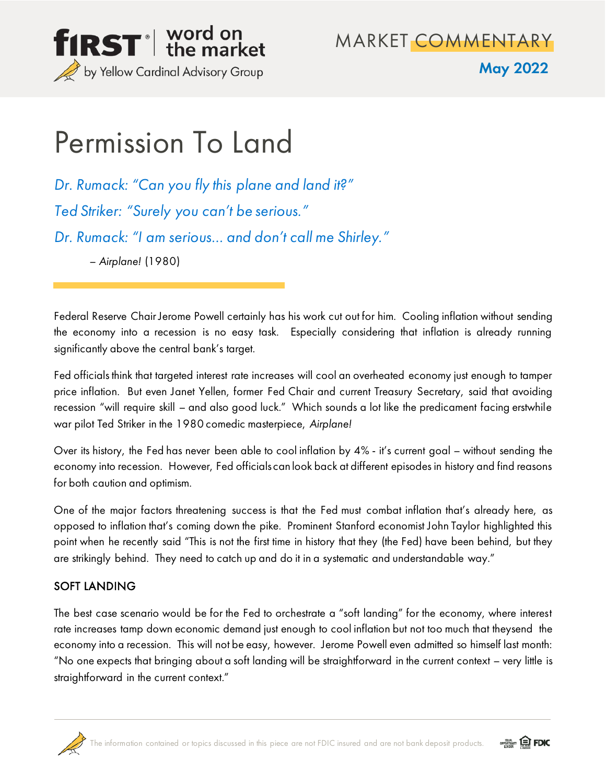

MARKET COMMENTARY

### May 2022

# Permission To Land

*Dr. Rumack: "Can you fly this plane and land it?" Ted Striker: "Surely you can't be serious." Dr. Rumack: "I am serious… and don't call me Shirley."* – *Airplane!* (1980)

Federal Reserve Chair Jerome Powell certainly has his work cut out for him. Cooling inflation without sending the economy into a recession is no easy task. Especially considering that inflation is already running significantly above the central bank's target.

Fed officials think that targeted interest rate increases will cool an overheated economy just enough to tamper price inflation. But even Janet Yellen, former Fed Chair and current Treasury Secretary, said that avoiding recession "will require skill – and also good luck." Which sounds a lot like the predicament facing erstwhile war pilot Ted Striker in the 1980 comedic masterpiece, *Airplane!*

Over its history, the Fed has never been able to cool inflation by 4% - it's current goal – without sending the economy into recession. However, Fed officials can look back at different episodes in history and find reasons for both caution and optimism.

One of the major factors threatening success is that the Fed must combat inflation that's already here, as opposed to inflation that's coming down the pike. Prominent Stanford economist John Taylor highlighted this point when he recently said "This is not the first time in history that they (the Fed) have been behind, but they are strikingly behind. They need to catch up and do it in a systematic and understandable way."

### SOFT LANDING

The best case scenario would be for the Fed to orchestrate a "soft landing" for the economy, where interest rate increases tamp down economic demand just enough to cool inflation but not too much that theysend the economy into a recession. This will not be easy, however. Jerome Powell even admitted so himself last month: "No one expects that bringing about a soft landing will be straightforward in the current context – very little is straightforward in the current context."



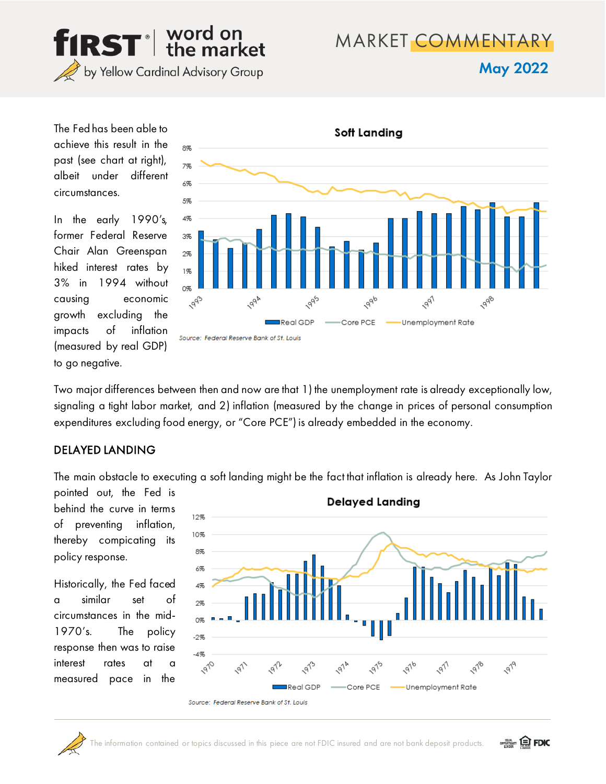

## MARKET COMMENTARY

May 2022

The Fed has been able to achieve this result in the past (see chart at right), albeit under different circumstances.

In the early 1990's, former Federal Reserve Chair Alan Greenspan hiked interest rates by 3% in 1994 without causing economic growth excluding the impacts of inflation (measured by real GDP) to go negative.



Two major differences between then and now are that 1) the unemployment rate is already exceptionally low, signaling a tight labor market, and 2) inflation (measured by the change in prices of personal consumption expenditures excluding food energy, or "Core PCE") is already embedded in the economy.

#### DELAYED LANDING

The main obstacle to executing a soft landing might be the fact that inflation is already here. As John Taylor

pointed out, the Fed is behind the curve in terms of preventing inflation, thereby compicating its policy response.

Historically, the Fed faced a similar set of circumstances in the mid-1970's. The policy response then was to raise interest rates at a measured pace in the



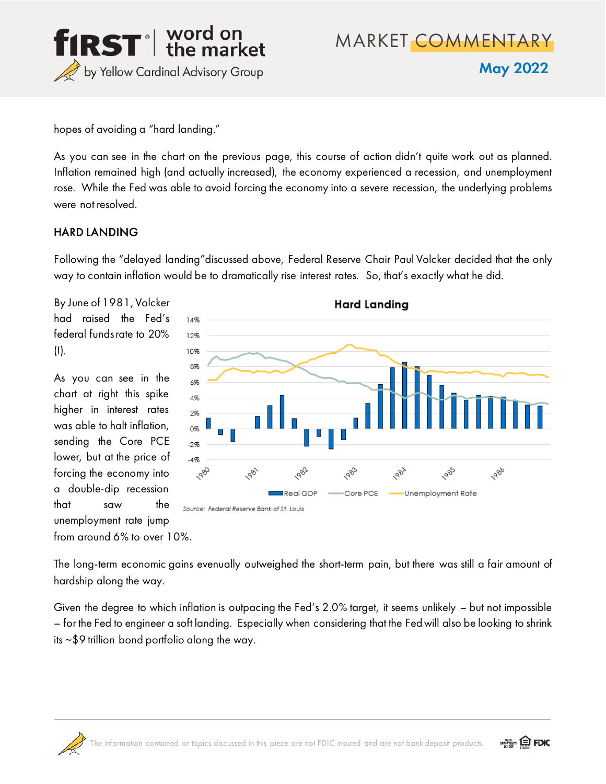

MARKET COMMENTARY May 2022

hopes of avoiding a "hard landing."

As you can see in the chart on the previous page, this course of action didn't quite work out as planned. Inflation remained high (and actually increased), the economy experienced a recession, and unemployment rose. While the Fed was able to avoid forcing the economy into a severe recession, the underlying problems were not resolved.

#### HARD LANDING

Following the "delayed landing"discussed above, Federal Reserve Chair Paul Volcker decided that the only way to contain inflation would be to dramatically rise interest rates. So, that's exactly what he did.

By June of 1981, Volcker had raised the Fed's federal funds rate to 20%  $(!)$ .

As you can see in the chart at right this spike higher in interest rates was able to halt inflation, sending the Core PCE lower, but at the price of forcing the economy into a double-dip recession that saw the unemployment rate jump from around 6% to over 10%.



The long-term economic gains evenually outweighed the short-term pain, but there was still a fair amount of hardship along the way.

Given the degree to which inflation is outpacing the Fed's 2.0% target, it seems unlikely – but not impossible – for the Fed to engineer a soft landing. Especially when considering that the Fed will also be looking to shrink its ~\$9 trillion bond portfolio along the way.



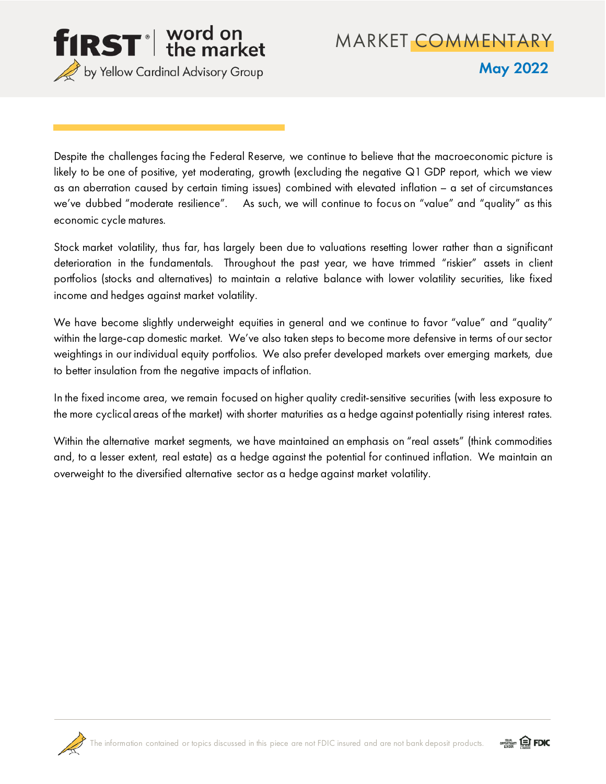

Despite the challenges facing the Federal Reserve, we continue to believe that the macroeconomic picture is likely to be one of positive, yet moderating, growth (excluding the negative Q1 GDP report, which we view as an aberration caused by certain timing issues) combined with elevated inflation – a set of circumstances we've dubbed "moderate resilience". As such, we will continue to focus on "value" and "quality" as this economic cycle matures.

Stock market volatility, thus far, has largely been due to valuations resetting lower rather than a significant deterioration in the fundamentals. Throughout the past year, we have trimmed "riskier" assets in client portfolios (stocks and alternatives) to maintain a relative balance with lower volatility securities, like fixed income and hedges against market volatility.

We have become slightly underweight equities in general and we continue to favor "value" and "quality" within the large-cap domestic market. We've also taken steps to become more defensive in terms of our sector weightings in our individual equity portfolios. We also prefer developed markets over emerging markets, due to better insulation from the negative impacts of inflation.

In the fixed income area, we remain focused on higher quality credit-sensitive securities (with less exposure to the more cyclical areas of the market) with shorter maturities as a hedge against potentially rising interest rates.

Within the alternative market segments, we have maintained an emphasis on "real assets" (think commodities and, to a lesser extent, real estate) as a hedge against the potential for continued inflation. We maintain an overweight to the diversified alternative sector as a hedge against market volatility.